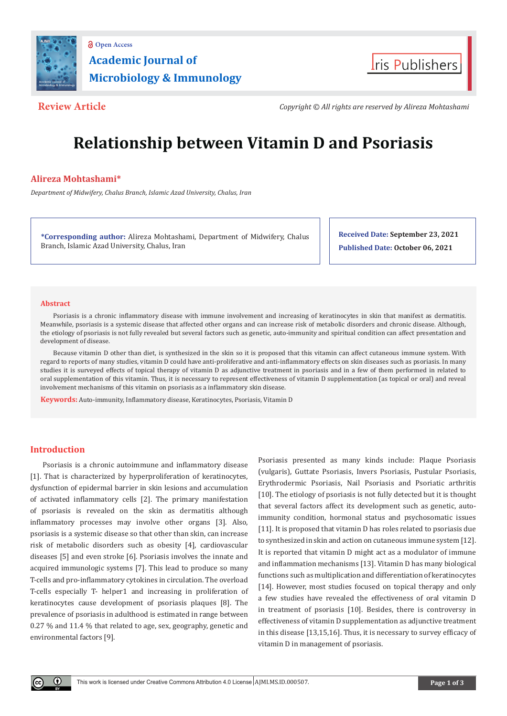



**Review Article** *Copyright © All rights are reserved by Alireza Mohtashami*

# **Relationship between Vitamin D and Psoriasis**

# **Alireza Mohtashami\***

*Department of Midwifery, Chalus Branch, Islamic Azad University, Chalus, Iran*

**\*Corresponding author:** Alireza Mohtashami, Department of Midwifery, Chalus Branch, Islamic Azad University, Chalus, Iran

**Received Date: September 23, 2021 Published Date: October 06, 2021**

#### **Abstract**

Psoriasis is a chronic inflammatory disease with immune involvement and increasing of keratinocytes in skin that manifest as dermatitis. Meanwhile, psoriasis is a systemic disease that affected other organs and can increase risk of metabolic disorders and chronic disease. Although, the etiology of psoriasis is not fully revealed but several factors such as genetic, auto-immunity and spiritual condition can affect presentation and development of disease.

Because vitamin D other than diet, is synthesized in the skin so it is proposed that this vitamin can affect cutaneous immune system. With regard to reports of many studies, vitamin D could have anti-proliferative and anti-inflammatory effects on skin diseases such as psoriasis. In many studies it is surveyed effects of topical therapy of vitamin D as adjunctive treatment in psoriasis and in a few of them performed in related to oral supplementation of this vitamin. Thus, it is necessary to represent effectiveness of vitamin D supplementation (as topical or oral) and reveal involvement mechanisms of this vitamin on psoriasis as a inflammatory skin disease.

**Keywords:** Auto-immunity, Inflammatory disease, Keratinocytes, Psoriasis, Vitamin D

## **Introduction**

Œ

Psoriasis is a chronic autoimmune and inflammatory disease [1]. That is characterized by hyperproliferation of keratinocytes, dysfunction of epidermal barrier in skin lesions and accumulation of activated inflammatory cells [2]. The primary manifestation of psoriasis is revealed on the skin as dermatitis although inflammatory processes may involve other organs [3]. Also, psoriasis is a systemic disease so that other than skin, can increase risk of metabolic disorders such as obesity [4], cardiovascular diseases [5] and even stroke [6]. Psoriasis involves the innate and acquired immunologic systems [7]. This lead to produce so many T-cells and pro-inflammatory cytokines in circulation. The overload T-cells especially T- helper1 and increasing in proliferation of keratinocytes cause development of psoriasis plaques [8]. The prevalence of psoriasis in adulthood is estimated in range between 0.27 % and 11.4 % that related to age, sex, geography, genetic and environmental factors [9].

Psoriasis presented as many kinds include: Plaque Psoriasis (vulgaris), Guttate Psoriasis, Invers Psoriasis, Pustular Psoriasis, Erythrodermic Psoriasis, Nail Psoriasis and Psoriatic arthritis [10]. The etiology of psoriasis is not fully detected but it is thought that several factors affect its development such as genetic, autoimmunity condition, hormonal status and psychosomatic issues [11]. It is proposed that vitamin D has roles related to psoriasis due to synthesized in skin and action on cutaneous immune system [12]. It is reported that vitamin D might act as a modulator of immune and inflammation mechanisms [13]. Vitamin D has many biological functions such as multiplication and differentiation of keratinocytes [14]. However, most studies focused on topical therapy and only a few studies have revealed the effectiveness of oral vitamin D in treatment of psoriasis [10]. Besides, there is controversy in effectiveness of vitamin D supplementation as adjunctive treatment in this disease [13,15,16]. Thus, it is necessary to survey efficacy of vitamin D in management of psoriasis.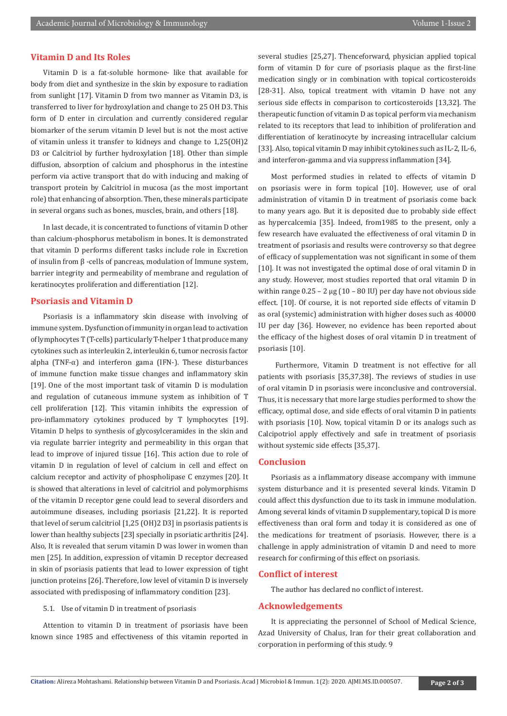### **Vitamin D and Its Roles**

Vitamin D is a fat-soluble hormone- like that available for body from diet and synthesize in the skin by exposure to radiation from sunlight [17]. Vitamin D from two manner as Vitamin D3, is transferred to liver for hydroxylation and change to 25 OH D3. This form of D enter in circulation and currently considered regular biomarker of the serum vitamin D level but is not the most active of vitamin unless it transfer to kidneys and change to 1,25(OH)2 D3 or Calcitriol by further hydroxylation [18]. Other than simple diffusion, absorption of calcium and phosphorus in the intestine perform via active transport that do with inducing and making of transport protein by Calcitriol in mucosa (as the most important role) that enhancing of absorption. Then, these minerals participate in several organs such as bones, muscles, brain, and others [18].

In last decade, it is concentrated to functions of vitamin D other than calcium-phosphorus metabolism in bones. It is demonstrated that vitamin D performs different tasks include role in Excretion of insulin from β -cells of pancreas, modulation of Immune system, barrier integrity and permeability of membrane and regulation of keratinocytes proliferation and differentiation [12].

### **Psoriasis and Vitamin D**

Psoriasis is a inflammatory skin disease with involving of immune system. Dysfunction of immunity in organ lead to activation of lymphocytes T (T-cells) particularly T-helper 1 that produce many cytokines such as interleukin 2, interleukin 6, tumor necrosis factor alpha (TNF- $\alpha$ ) and interferon gama (IFN-). These disturbances of immune function make tissue changes and inflammatory skin [19]. One of the most important task of vitamin D is modulation and regulation of cutaneous immune system as inhibition of T cell proliferation [12]. This vitamin inhibits the expression of pro-inflammatory cytokines produced by T lymphocytes [19]. Vitamin D helps to synthesis of glycosylceramides in the skin and via regulate barrier integrity and permeability in this organ that lead to improve of injured tissue [16]. This action due to role of vitamin D in regulation of level of calcium in cell and effect on calcium receptor and activity of phospholipase C enzymes [20]. It is showed that alterations in level of calcitriol and polymorphisms of the vitamin D receptor gene could lead to several disorders and autoimmune diseases, including psoriasis [21,22]. It is reported that level of serum calcitriol [1,25 (OH)2 D3] in psoriasis patients is lower than healthy subjects [23] specially in psoriatic arthritis [24]. Also, It is revealed that serum vitamin D was lower in women than men [25]. In addition, expression of vitamin D receptor decreased in skin of psoriasis patients that lead to lower expression of tight junction proteins [26]. Therefore, low level of vitamin D is inversely associated with predisposing of inflammatory condition [23].

#### 5.1. Use of vitamin D in treatment of psoriasis

Attention to vitamin D in treatment of psoriasis have been known since 1985 and effectiveness of this vitamin reported in

several studies [25,27]. Thenceforward, physician applied topical form of vitamin D for cure of psoriasis plaque as the first-line medication singly or in combination with topical corticosteroids [28-31]. Also, topical treatment with vitamin D have not any serious side effects in comparison to corticosteroids [13,32]. The therapeutic function of vitamin D as topical perform via mechanism related to its receptors that lead to inhibition of proliferation and differentiation of keratinocyte by increasing intracellular calcium [33]. Also, topical vitamin D may inhibit cytokines such as IL-2, IL-6, and interferon-gamma and via suppress inflammation [34].

Most performed studies in related to effects of vitamin D on psoriasis were in form topical [10]. However, use of oral administration of vitamin D in treatment of psoriasis come back to many years ago. But it is deposited due to probably side effect as hypercalcemia [35]. Indeed, from1985 to the present, only a few research have evaluated the effectiveness of oral vitamin D in treatment of psoriasis and results were controversy so that degree of efficacy of supplementation was not significant in some of them [10]. It was not investigated the optimal dose of oral vitamin D in any study. However, most studies reported that oral vitamin D in within range  $0.25 - 2 \mu g (10 - 80 \text{ IU})$  per day have not obvious side effect. [10]. Of course, it is not reported side effects of vitamin D as oral (systemic) administration with higher doses such as 40000 IU per day [36]. However, no evidence has been reported about the efficacy of the highest doses of oral vitamin D in treatment of psoriasis [10].

 Furthermore, Vitamin D treatment is not effective for all patients with psoriasis [35,37,38]. The reviews of studies in use of oral vitamin D in psoriasis were inconclusive and controversial. Thus, it is necessary that more large studies performed to show the efficacy, optimal dose, and side effects of oral vitamin D in patients with psoriasis [10]. Now, topical vitamin D or its analogs such as Calcipotriol apply effectively and safe in treatment of psoriasis without systemic side effects [35,37].

#### **Conclusion**

Psoriasis as a inflammatory disease accompany with immune system disturbance and it is presented several kinds. Vitamin D could affect this dysfunction due to its task in immune modulation. Among several kinds of vitamin D supplementary, topical D is more effectiveness than oral form and today it is considered as one of the medications for treatment of psoriasis. However, there is a challenge in apply administration of vitamin D and need to more research for confirming of this effect on psoriasis.

#### **Conflict of interest**

The author has declared no conflict of interest.

#### **Acknowledgements**

It is appreciating the personnel of School of Medical Science, Azad University of Chalus, Iran for their great collaboration and corporation in performing of this study. 9